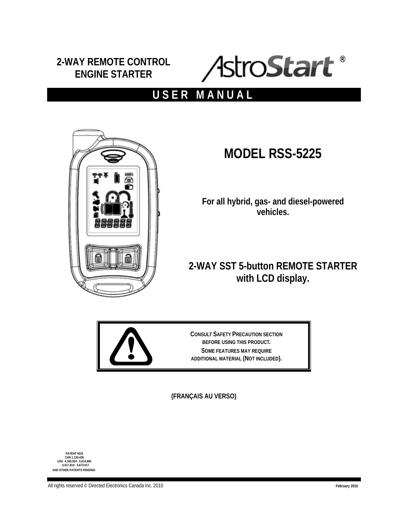# **2-WAY REMOTE CONTROL ENGINE STARTER**



# **USER MANUAL**



# **MODEL RSS-5225**

**For all hybrid, gas- and diesel-powered vehicles.** 

# **2-WAY SST 5-button REMOTE STARTER with LCD display.**



**CONSULT SAFETY PRECAUTION SECTION BEFORE USING THIS PRODUCT. SOME FEATURES MAY REQUIRE ADDITIONAL MATERIAL (NOT INCLUDED).** 

**(FRANÇAIS AU VERSO)** 

**PATENT NOS CAN 1.130.426 USA 4.345.554 - 5.614.883 - 5.617.819 - 5.673.017 AND OTHER PATENTS PENDING**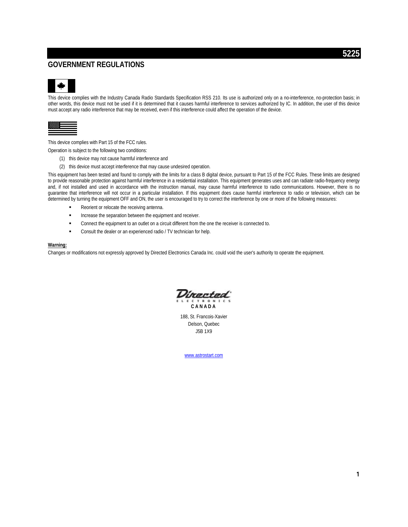# **GOVERNMENT REGULATIONS**



This device complies with the Industry Canada Radio Standards Specification RSS 210. Its use is authorized only on a no-interference, no-protection basis; in other words, this device must not be used if it is determined that it causes harmful interference to services authorized by IC. In addition, the user of this device must accept any radio interference that may be received, even if this interference could affect the operation of the device.

This device complies with Part 15 of the FCC rules.

Operation is subject to the following two conditions:

- (1) this device may not cause harmful interference and
- (2) this device must accept interference that may cause undesired operation.

This equipment has been tested and found to comply with the limits for a class B digital device, pursuant to Part 15 of the FCC Rules. These limits are designed to provide reasonable protection against harmful interference in a residential installation. This equipment generates uses and can radiate radio-frequency energy and, if not installed and used in accordance with the instruction manual, may cause harmful interference to radio communications. However, there is no guarantee that interference will not occur in a particular installation. If this equipment does cause harmful interference to radio or television, which can be determined by turning the equipment OFF and ON, the user is encouraged to try to correct the interference by one or more of the following measures:

- Reorient or relocate the receiving antenna.
- Increase the separation between the equipment and receiver.
- Connect the equipment to an outlet on a circuit different from the one the receiver is connected to.
- Consult the dealer or an experienced radio / TV technician for help.

#### **Warning:**

Changes or modifications not expressly approved by Directed Electronics Canada Inc. could void the user's authority to operate the equipment.

trectea ECTRONIC

**CANADA** 

188, St. Francois-Xavier Delson, Quebec J5B 1X9

www.astrostart.com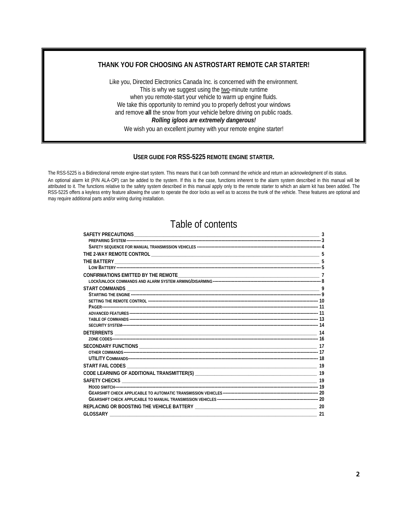# **THANK YOU FOR CHOOSING AN ASTROSTART REMOTE CAR STARTER!**

Like you, Directed Electronics Canada Inc. is concerned with the environment. This is why we suggest using the two-minute runtime when you remote-start your vehicle to warm up engine fluids. We take this opportunity to remind you to properly defrost your windows and remove **all** the snow from your vehicle before driving on public roads. *Rolling igloos are extremely dangerous!* 

We wish you an excellent journey with your remote engine starter!

### **USER GUIDE FOR RSS-5225 REMOTE ENGINE STARTER.**

The RSS-5225 is a Bidirectional remote engine-start system. This means that it can both command the vehicle and return an acknowledgment of its status.

An optional alarm kit (P/N ALA-OP) can be added to the system. If this is the case, functions inherent to the alarm system described in this manual will be attributed to it. The functions relative to the safety system described in this manual apply only to the remote starter to which an alarm kit has been added. The RSS-5225 offers a keyless entry feature allowing the user to operate the door locks as well as to access the trunk of the vehicle. These features are optional and may require additional parts and/or wiring during installation.

# Table of contents

| - 19 |
|------|
|      |
|      |
|      |
|      |
|      |
|      |
|      |
|      |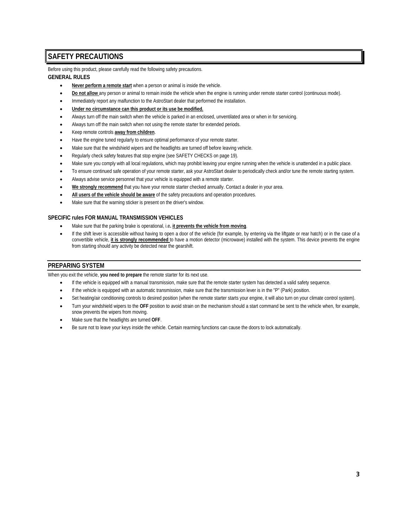# **SAFETY PRECAUTIONS**

Before using this product, please carefully read the following safety precautions.

### **GENERAL RULES**

- **Never perform a remote start** when a person or animal is inside the vehicle.
- **Do not allow** any person or animal to remain inside the vehicle when the engine is running under remote starter control (continuous mode).
- Immediately report any malfunction to the AstroStart dealer that performed the installation.
- **Under no circumstance can this product or its use be modified.**
- Always turn off the main switch when the vehicle is parked in an enclosed, unventilated area or when in for servicing.
- Always turn off the main switch when not using the remote starter for extended periods.
- Keep remote controls **away from children**.
- Have the engine tuned regularly to ensure optimal performance of your remote starter.
- Make sure that the windshield wipers and the headlights are turned off before leaving vehicle.
- Regularly check safety features that stop engine (see SAFETY CHECKS on page 19).
- Make sure you comply with all local regulations, which may prohibit leaving your engine running when the vehicle is unattended in a public place.
- To ensure continued safe operation of your remote starter, ask your AstroStart dealer to periodically check and/or tune the remote starting system.
- Always advise service personnel that your vehicle is equipped with a remote starter.
- **We strongly recommend** that you have your remote starter checked annually. Contact a dealer in your area.
- **All users of the vehicle should be aware** of the safety precautions and operation procedures.
- Make sure that the warning sticker is present on the driver's window.

### **SPECIFIC rules FOR MANUAL TRANSMISSION VEHICLES**

- Make sure that the parking brake is operational, i.e**. it prevents the vehicle from moving**.
- If the shift lever is accessible without having to open a door of the vehicle (for example, by entering via the liftgate or rear hatch) or in the case of a convertible vehicle, **it is strongly recommended** to have a motion detector (microwave) installed with the system. This device prevents the engine from starting should any activity be detected near the gearshift.

# **PREPARING SYSTEM**

When you exit the vehicle, **you need to prepare** the remote starter for its next use.

- If the vehicle is equipped with a manual transmission, make sure that the remote starter system has detected a valid safety sequence.
- If the vehicle is equipped with an automatic transmission, make sure that the transmission lever is in the "P" (Park) position.
- Set heating/air conditioning controls to desired position (when the remote starter starts your engine, it will also turn on your climate control system).
- Turn your windshield wipers to the **OFF** position to avoid strain on the mechanism should a start command be sent to the vehicle when, for example, snow prevents the wipers from moving.
- Make sure that the headlights are turned **OFF**.
- Be sure not to leave your keys inside the vehicle. Certain rearming functions can cause the doors to lock automatically.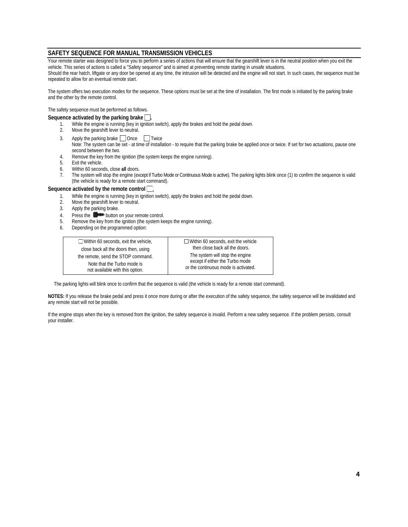# **SAFETY SEQUENCE FOR MANUAL TRANSMISSION VEHICLES**

Your remote starter was designed to force you to perform a series of actions that will ensure that the gearshift lever is in the neutral position when you exit the vehicle. This series of actions is called a "Safety sequence" and is aimed at preventing remote starting in unsafe situations.

Should the rear hatch, liftgate or any door be opened at any time, the intrusion will be detected and the engine will not start. In such cases, the sequence must be repeated to allow for an eventual remote start.

The system offers two execution modes for the sequence. These options must be set at the time of installation. The first mode is initiated by the parking brake and the other by the remote control.

The safety sequence must be performed as follows.

#### Sequence activated by the parking brake

- 1. While the engine is running (key in ignition switch), apply the brakes and hold the pedal down.
- 2. Move the gearshift lever to neutral.
- 3. Apply the parking brake  $\Box$  Once  $\Box$  Twice Note: The system can be set - at time of installation - to require that the parking brake be applied once or twice. If set for two actuations, pause one second between the two.
- 4. Remove the key from the ignition (the system keeps the engine running).
- 5. Exit the vehicle.
- 6. Within 60 seconds, close **all** doors.
- 7. The system will stop the engine (except if Turbo Mode or Continuous Mode is active). The parking lights blink once (1) to confirm the sequence is valid (the vehicle is ready for a remote start command).

#### Sequence activated by the remote control **...**

- 1. While the engine is running (key in ignition switch), apply the brakes and hold the pedal down.
- 2. Move the gearshift lever to neutral.
- 3. Apply the parking brake.
- 4. Press the **Deep button on your remote control.**
- 5. Remove the key from the ignition (the system keeps the engine running).
- 6. Depending on the programmed option:

| $\Box$ Within 60 seconds, exit the vehicle, | $\Box$ Within 60 seconds, exit the vehicle |
|---------------------------------------------|--------------------------------------------|
| close back all the doors then, using        | then close back all the doors.             |
| the remote, send the STOP command.          | The system will stop the engine            |
| Note that the Turbo mode is                 | except if either the Turbo mode            |
| not available with this option.             | or the continuous mode is activated.       |

The parking lights will blink once to confirm that the sequence is valid (the vehicle is ready for a remote start command).

**NOTES:** If you release the brake pedal and press it once more during or after the execution of the safety sequence, the safety sequence will be invalidated and any remote start will not be possible.

If the engine stops when the key is removed from the ignition, the safety sequence is invalid. Perform a new safety sequence. If the problem persists, consult your installer.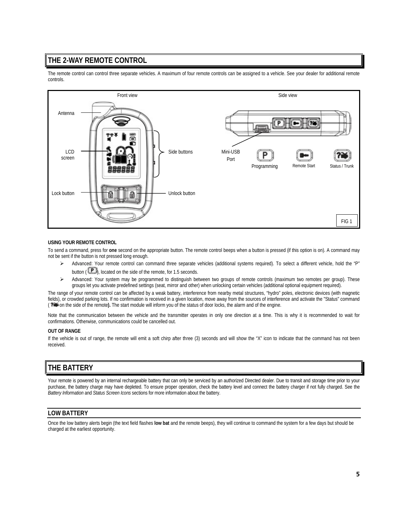# **THE 2-WAY REMOTE CONTROL**

The remote control can control three separate vehicles. A maximum of four remote controls can be assigned to a vehicle. See your dealer for additional remote controls.



#### **USING YOUR REMOTE CONTROL**

To send a command, press for **one** second on the appropriate button. The remote control beeps when a button is pressed (if this option is on). A command may not be sent if the button is not pressed long enough.

- ¾ Advanced: Your remote control can command three separate vehicles (additional systems required). To select a different vehicle, hold the "P" button ( $\Box$ ), located on the side of the remote, for 1.5 seconds.
- ¾ Advanced: Your system may be programmed to distinguish between two groups of remote controls (maximum two remotes per group). These groups let you activate predefined settings (seat, mirror and other) when unlocking certain vehicles (additional optional equipment required).

The range of your remote control can be affected by a weak battery, interference from nearby metal structures, "hydro" poles, electronic devices (with magnetic fields), or crowded parking lots. If no confirmation is received in a given location, move away from the sources of interference and activate the "Status" command ( ? in the side of the remote). The start module will inform you of the status of door locks, the alarm and of the engine.

Note that the communication between the vehicle and the transmitter operates in only one direction at a time. This is why it is recommended to wait for confirmations. Otherwise, communications could be cancelled out.

#### **OUT OF RANGE**

If the vehicle is out of range, the remote will emit a soft chirp after three (3) seconds and will show the "X" icon to indicate that the command has not been received.

# **THE BATTERY**

Your remote is powered by an internal rechargeable battery that can only be serviced by an authorized Directed dealer. Due to transit and storage time prior to your purchase, the battery charge may have depleted. To ensure proper operation, check the battery level and connect the battery charger if not fully charged. See the *Battery Information* and *Status Screen Icons* sections for more information about the battery.

# **LOW BATTERY**

Once the low battery alerts begin (the text field flashes **low bat** and the remote beeps), they will continue to command the system for a few days but should be charged at the earliest opportunity.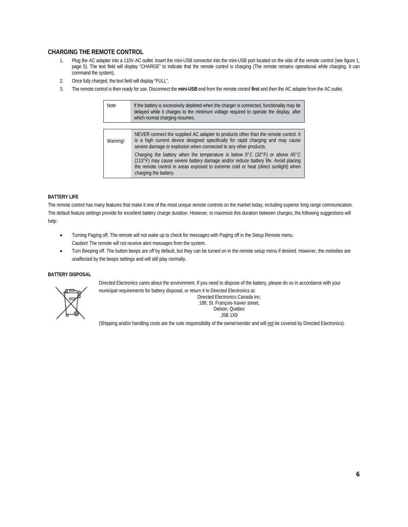## **CHARGING THE REMOTE CONTROL**

- 1. Plug the AC adapter into a 110V AC outlet. Insert the mini-USB connector into the mini-USB port located on the side of the remote control (see figure 1, page 5). The text field will display "CHARGE" to indicate that the remote control is charging (The remote remains operational while charging. It can command the system).
- 2. Once fully charged, the text field will display "FULL".
- 3. The remote control is then ready for use. Disconnect the **mini-USB** end from the remote control **first** and then the AC adapter from the AC outlet.

| <b>Note</b> | If the battery is excessively depleted when the charger is connected, functionality may be<br>delayed while it charges to the minimum voltage reguired to operate the display, after<br>which normal charging resumes.                                                                                          |
|-------------|-----------------------------------------------------------------------------------------------------------------------------------------------------------------------------------------------------------------------------------------------------------------------------------------------------------------|
|             |                                                                                                                                                                                                                                                                                                                 |
| Warning!    | NEVER connect the supplied AC adapter to products other than the remote control. It<br>is a high current device designed specifically for rapid charging and may cause<br>severe damage or explosion when connected to any other products.                                                                      |
|             | Charging the battery when the temperature is below $0^{\circ}$ C (32 $^{\circ}$ F) or above 45 $^{\circ}$ C<br>(113°F) may cause severe battery damage and/or reduce battery life. Avoid placing<br>the remote control in areas exposed to extreme cold or heat (direct sunlight) when<br>charging the battery. |

#### **BATTERY LIFE**

The remote control has many features that make it one of the most unique remote controls on the market today, including superior long range communication. The default feature settings provide for excellent battery charge duration. However, to maximize this duration between charges, the following suggestions will help:

- Turning Paging off. The remote will not wake up to check for messages with Paging off in the Setup Remote menu. Caution! The remote will not receive alert messages from the system.
- Turn Beeping off. The button beeps are off by default, but they can be turned on in the remote setup menu if desired. However, the melodies are unaffected by the beeps settings and will still play normally.

#### **BATTERY DISPOSAL**



Directed Electronics cares about the environment. If you need to dispose of the battery, please do so in accordance with your municipal requirements for battery disposal, or return it to Directed Electronics at:

Directed Electronics Canada Inc. 188, St. François-Xavier street, Delson, Quebec J5B 1X9

(Shipping and/or handling costs are the sole responsibility of the owner/sender and will not be covered by Directed Electronics).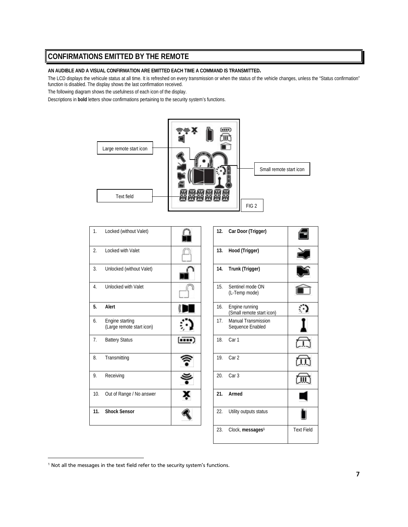# **CONFIRMATIONS EMITTED BY THE REMOTE**

#### **AN AUDIBLE AND A VISUAL CONFIRMATION ARE EMITTED EACH TIME A COMMAND IS TRANSMITTED.**

The LCD displays the vehicule status at all time. It is refreshed on every transmission or when the status of the vehicle changes, unless the "Status confirmation" function is disabled. The display shows the last confirmation received.

The following diagram shows the usefulness of each icon of the display.

Descriptions in **bold** letters show confirmations pertaining to the security system's functions.



| 1.  | Locked (without Valet)                       |       | 12. | Car Door (Trigger)                             |
|-----|----------------------------------------------|-------|-----|------------------------------------------------|
| 2.  | Locked with Valet                            |       | 13. | Hood (Trigger)                                 |
| 3.  | Unlocked (without Valet)                     |       | 14. | Trunk (Trigger)                                |
| 4.  | <b>Unlocked with Valet</b>                   |       | 15. | Sentinel mode ON<br>(L-Temp mode)              |
| 5.  | Alert                                        |       | 16. | Engine running<br>(Small remote start io       |
| 6.  | Engine starting<br>(Large remote start icon) |       | 17. | <b>Manual Transmission</b><br>Sequence Enabled |
| 7.  | <b>Battery Status</b>                        | ,,,,, | 18. | Car 1                                          |
| 8.  | Transmitting                                 |       | 19. | Car <sub>2</sub>                               |
| 9.  | Receiving                                    |       | 20. | Car <sub>3</sub>                               |
| 10. | Out of Range / No answer                     |       | 21. | Armed                                          |
| 11. | <b>Shock Sensor</b>                          |       | 22. | Utility outputs status                         |

|  | 12. | Car Door (Trigger)                             |                   |
|--|-----|------------------------------------------------|-------------------|
|  | 13. | Hood (Trigger)                                 |                   |
|  | 14. | Trunk (Trigger)                                |                   |
|  | 15. | Sentinel mode ON<br>(L-Temp mode)              |                   |
|  | 16. | Engine running<br>(Small remote start icon)    |                   |
|  | 17. | <b>Manual Transmission</b><br>Sequence Enabled |                   |
|  | 18. | Car 1                                          |                   |
|  | 19  | Car <sub>2</sub>                               |                   |
|  | 20. | Car <sub>3</sub>                               |                   |
|  | 21. | Armed                                          |                   |
|  | 22. | Utility outputs status                         |                   |
|  | 23. | Clock, messages <sup>1</sup>                   | <b>Text Field</b> |

<sup>&</sup>lt;sup>1</sup> Not all the messages in the text field refer to the security system's functions.

1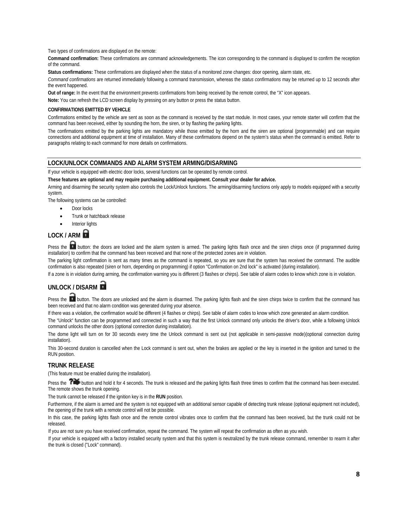Two types of confirmations are displayed on the remote:

**Command confirmation:** These confirmations are command acknowledgements. The icon corresponding to the command is displayed to confirm the reception of the command.

**Status confirmations:** These confirmations are displayed when the status of a monitored zone changes: door opening, alarm state, etc.

*Command confirmations* are returned immediately following a command transmission, whereas the *status confirmations* may be returned up to 12 seconds after the event happened.

**Out of range:** In the event that the environment prevents confirmations from being received by the remote control, the "X" icon appears.

**Note:** You can refresh the LCD screen display by pressing on any button or press the status button.

#### **CONFIRMATIONS EMITTED BY VEHICLE**

Confirmations emitted by the vehicle are sent as soon as the command is received by the start module. In most cases, your remote starter will confirm that the command has been received, either by sounding the horn, the siren, or by flashing the parking lights.

The confirmations emitted by the parking lights are mandatory while those emitted by the horn and the siren are optional (programmable) and can require connections and additional equipment at time of installation. Many of these confirmations depend on the system's status when the command is emitted. Refer to paragraphs relating to each command for more details on confirmations.

#### **LOCK/UNLOCK COMMANDS AND ALARM SYSTEM ARMING/DISARMING**

If your vehicle is equipped with electric door locks, several functions can be operated by remote control.

**These features are optional and may require purchasing additional equipment. Consult your dealer for advice.** 

Arming and disarming the security system also controls the Lock/Unlock functions. The arming/disarming functions only apply to models equipped with a security system.

The following systems can be controlled:

- Door locks
- Trunk or hatchback release
- Interior lights

# **LOCK / ARM**

Press the **button:** the doors are locked and the alarm system is armed. The parking lights flash once and the siren chirps once (if programmed during installation) to confirm that the command has been received and that none of the protected zones are in violation.

The parking light confirmation is sent as many times as the command is repeated, so you are sure that the system has received the command. The audible confirmation is also repeated (siren or horn, depending on programming) if option "Confirmation on 2nd lock" is activated (during installation).

If a zone is in violation during arming, the confirmation warning you is different (3 flashes or chirps). See table of alarm codes to know which zone is in violation.

# **UNLOCK / DISARM**

Press the **button.** The doors are unlocked and the alarm is disarmed. The parking lights flash and the siren chirps twice to confirm that the command has been received and that no alarm condition was generated during your absence.

If there was a violation, the confirmation would be different (4 flashes or chirps). See table of alarm codes to know which zone generated an alarm condition.

The "Unlock" function can be programmed and connected in such a way that the first Unlock command only unlocks the driver's door, while a following Unlock command unlocks the other doors (optional connection during installation).

The dome light will turn on for 30 seconds every time the Unlock command is sent out (not applicable in semi-passive mode)(optional connection during installation).

This 30-second duration is cancelled when the Lock command is sent out, when the brakes are applied or the key is inserted in the ignition and turned to the RUN position.

### **TRUNK RELEASE**

(This feature must be enabled during the installation).

Press the **Produce and hold it for 4 seconds.** The trunk is released and the parking lights flash three times to confirm that the command has been executed. The remote shows the trunk opening.

The trunk cannot be released if the ignition key is in the **RUN** position.

Furthermore, if the alarm is armed and the system is not equipped with an additional sensor capable of detecting trunk release (optional equipment not included), the opening of the trunk with a remote control will not be possible.

In this case, the parking lights flash once and the remote control vibrates once to confirm that the command has been received, but the trunk could not be released.

If you are not sure you have received confirmation, repeat the command. The system will repeat the confirmation as often as you wish.

If your vehicle is equipped with a factory installed security system and that this system is neutralized by the trunk release command, remember to rearm it after the trunk is closed ("Lock" command).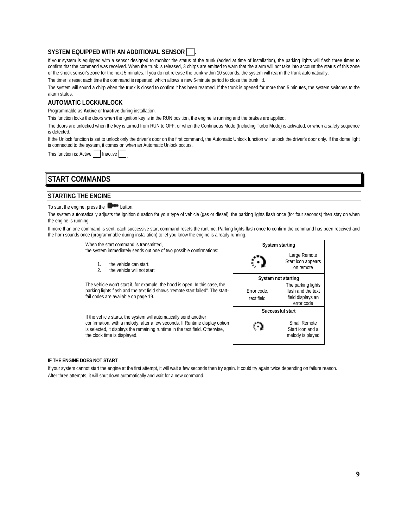# **SYSTEM EQUIPPED WITH AN ADDITIONAL SENSOR .**

If your system is equipped with a sensor designed to monitor the status of the trunk (added at time of installation), the parking lights will flash three times to confirm that the command was received. When the trunk is released, 3 chirps are emitted to warn that the alarm will not take into account the status of this zone or the shock sensor's zone for the next 5 minutes. If you do not release the trunk within 10 seconds, the system will rearm the trunk automatically.

The timer is reset each time the command is repeated, which allows a new 5-minute period to close the trunk lid.

The system will sound a chirp when the trunk is closed to confirm it has been rearmed. If the trunk is opened for more than 5 minutes, the system switches to the alarm status.

# **AUTOMATIC LOCK/UNLOCK**

Programmable as **Active** or **Inactive** during installation.

This function locks the doors when the ignition key is in the RUN position, the engine is running and the brakes are applied.

The doors are unlocked when the key is turned from RUN to OFF, or when the Continuous Mode (Including Turbo Mode) is activated, or when a safety sequence is detected.

If the Unlock function is set to unlock only the driver's door on the first command, the Automatic Unlock function will unlock the driver's door only. If the dome light is connected to the system, it comes on when an Automatic Unlock occurs.

This function is: Active | | Inactive

# **START COMMANDS**

# **STARTING THE ENGINE**

To start the engine, press the  $\Box$  button.

The system automatically adjusts the ignition duration for your type of vehicle (gas or diesel); the parking lights flash once (for four seconds) then stay on when the engine is running.

If more than one command is sent, each successive start command resets the runtime. Parking lights flash once to confirm the command has been received and the horn sounds once (programmable during installation) to let you know the engine is already running.

When the start command is transmitted,

the system immediately sends out one of two possible confirmations:

- 1. the vehicle can start.<br>2 the vehicle will not st
- the vehicle will not start

The vehicle won't start if, for example, the hood is open. In this case, the parking lights flash and the text field shows "remote start failed". The startfail codes are available on page 19.

If the vehicle starts, the system will automatically send another confirmation, with a melody, after a few seconds. If Runtime display option is selected, it displays the remaining runtime in the text field. Otherwise, the clock time is displayed.



#### **IF THE ENGINE DOES NOT START**

If your system cannot start the engine at the first attempt, it will wait a few seconds then try again. It could try again twice depending on failure reason. After three attempts, it will shut down automatically and wait for a new command.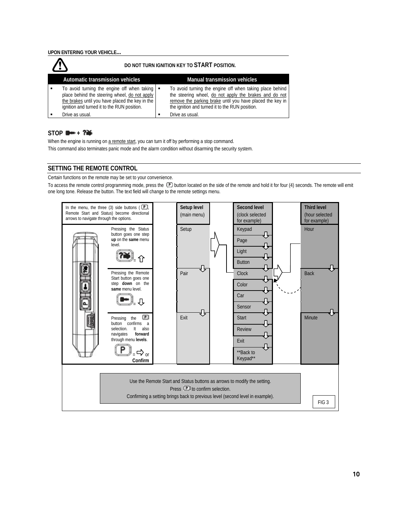|                                                                                                                                                                                                               | DO NOT TURN IGNITION KEY TO START POSITION.                                                                                                                                                                                        |
|---------------------------------------------------------------------------------------------------------------------------------------------------------------------------------------------------------------|------------------------------------------------------------------------------------------------------------------------------------------------------------------------------------------------------------------------------------|
| Automatic transmission vehicles                                                                                                                                                                               | <b>Manual transmission vehicles</b>                                                                                                                                                                                                |
| To avoid turning the engine off when taking $\blacksquare$<br>place behind the steering wheel, do not apply<br>the brakes until you have placed the key in the<br>ignition and turned it to the RUN position. | To avoid turning the engine off when taking place behind<br>the steering wheel, do not apply the brakes and do not<br>remove the parking brake until you have placed the key in<br>the ignition and turned it to the RUN position. |
| Drive as usual.                                                                                                                                                                                               | Drive as usual.                                                                                                                                                                                                                    |

# $STOP$   $\rightarrow$   $\rightarrow$   $2\rightarrow$

When the engine is running on a remote start, you can turn it off by performing a stop command. This command also terminates panic mode and the alarm condition without disarming the security system.

### **SETTING THE REMOTE CONTROL**

Certain functions on the remote may be set to your convenience.

To access the remote control programming mode, press the  $\mathbf D$  button located on the side of the remote and hold it for four (4) seconds. The remote will emit one long tone. Release the button. The text field will change to the remote settings menu.

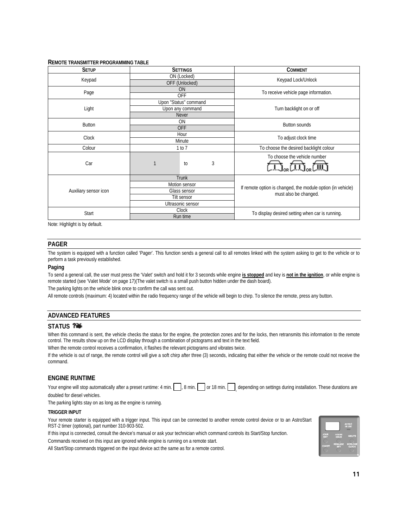#### **REMOTE TRANSMITTER PROGRAMMING TABLE**

| <b>SETUP</b>          | <b>SETTINGS</b> |                       |                              | <b>COMMENT</b>                                              |  |  |
|-----------------------|-----------------|-----------------------|------------------------------|-------------------------------------------------------------|--|--|
| Keypad                | ON (Locked)     |                       |                              | Keypad Lock/Unlock                                          |  |  |
|                       |                 | OFF (Unlocked)        |                              |                                                             |  |  |
| Page                  |                 | <b>ON</b>             |                              | To receive vehicle page information.                        |  |  |
|                       |                 | <b>OFF</b>            |                              |                                                             |  |  |
|                       |                 | Upon "Status" command |                              |                                                             |  |  |
| Light                 |                 | Upon any command      |                              | Turn backlight on or off                                    |  |  |
|                       |                 | <b>Never</b>          |                              |                                                             |  |  |
|                       |                 | <b>ON</b>             |                              |                                                             |  |  |
| Button                |                 | <b>OFF</b>            |                              | <b>Button sounds</b>                                        |  |  |
|                       |                 | Hour                  |                              |                                                             |  |  |
| Clock                 |                 | Minute                |                              | To adjust clock time                                        |  |  |
| Colour                |                 | 1 to 7                |                              | To choose the desired backlight colour                      |  |  |
|                       |                 |                       | To choose the vehicle number |                                                             |  |  |
| Car                   |                 | to                    | 3                            |                                                             |  |  |
|                       |                 | <b>Trunk</b>          |                              |                                                             |  |  |
|                       |                 | Motion sensor         |                              |                                                             |  |  |
| Auxiliary sensor icon | Glass sensor    |                       |                              | If remote option is changed, the module option (in vehicle) |  |  |
|                       | Tilt sensor     |                       |                              | must also be changed.                                       |  |  |
| Ultrasonic sensor     |                 |                       |                              |                                                             |  |  |
|                       | Clock           |                       |                              |                                                             |  |  |
| Start                 | Run time        |                       |                              | To display desired setting when car is running.             |  |  |

Note: Highlight is by default.

#### **PAGER**

The system is equipped with a function called 'Pager'. This function sends a general call to all remotes linked with the system asking to get to the vehicle or to perform a task previously established.

#### **Paging**

To send a general call, the user must press the 'Valet' switch and hold it for 3 seconds while engine **is stopped** and key is **not in the ignition**, or while engine is remote started (see 'Valet Mode' on page 17)(The valet switch is a small push button hidden under the dash board).

The parking lights on the vehicle blink once to confirm the call was sent out.

All remote controls (maximum: 4) located within the radio frequency range of the vehicle will begin to chirp. To silence the remote, press any button.

### **ADVANCED FEATURES**

#### **STATUS**

When this command is sent, the vehicle checks the status for the engine, the protection zones and for the locks, then retransmits this information to the remote control. The results show up on the LCD display through a combination of pictograms and text in the text field.

When the remote control receives a confirmation, it flashes the relevant pictograms and vibrates twice.

If the vehicle is out of range, the remote control will give a soft chirp after three (3) seconds, indicating that either the vehicle or the remote could not receive the command.

#### **ENGINE RUNTIME**

Your engine will stop automatically after a preset runtime: 4 min.  $\Box$ , 8 min.  $\Box$  or 18 min.  $\Box$ , depending on settings during installation. These durations are doubled for diesel vehicles.

The parking lights stay on as long as the engine is running.

#### **TRIGGER INPUT**

Your remote starter is equipped with a trigger input. This input can be connected to another remote control device or to an AstroStart RST-2 timer (optional), part number 310-903-502.

If this input is connected, consult the device's manual or ask your technician which command controls its Start/Stop function.

Commands received on this input are ignored while engine is running on a remote start.

All Start/Stop commands triggered on the input device act the same as for a remote control.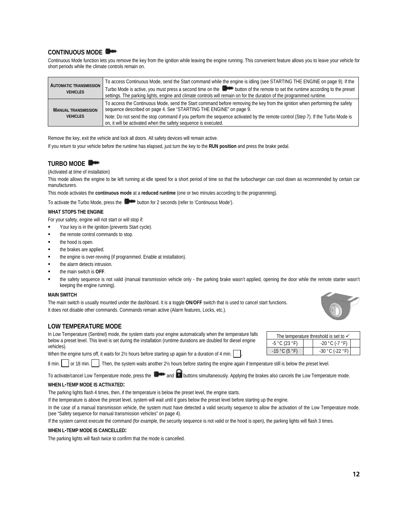# **CONTINUOUS MODE**

Continuous Mode function lets you remove the key from the ignition while leaving the engine running. This convenient feature allows you to leave your vehicle for short periods while the climate controls remain on.

| <b>AUTOMATIC TRANSMISSION</b><br><b>VEHICLES</b> | To access Continuous Mode, send the Start command while the engine is idling (see STARTING THE ENGINE on page 9). If the<br>Turbo Mode is active, you must press a second time on the button of the remote to set the runtime according to the preset<br>settings. The parking lights, engine and climate controls will remain on for the duration of the programmed runtime.                       |
|--------------------------------------------------|-----------------------------------------------------------------------------------------------------------------------------------------------------------------------------------------------------------------------------------------------------------------------------------------------------------------------------------------------------------------------------------------------------|
| <b>MANUAL TRANSMISSION</b><br><b>VEHICLES</b>    | To access the Continuous Mode, send the Start command before removing the key from the ignition when performing the safety<br>sequence described on page 4. See "STARTING THE ENGINE" on page 9.<br>Note: Do not send the stop command if you perform the sequence activated by the remote control (Step 7). If the Turbo Mode is<br>on, it will be activated when the safety sequence is executed. |

Remove the key, exit the vehicle and lock all doors. All safety devices will remain active.

If you return to your vehicle before the runtime has elapsed, just turn the key to the **RUN position** and press the brake pedal.

# **TURBO MODE**

#### (Activated at time of installation)

This mode allows the engine to be left running at idle speed for a short period of time so that the turbocharger can cool down as recommended by certain car manufacturers.

This mode activates the **continuous mode** at a **reduced runtime** (one or two minutes according to the programming).

To activate the Turbo Mode, press the **Department of the Continuous Mode** (Fefer to 'Continuous Mode').

#### **WHAT STOPS THE ENGINE**

For your safety, engine will not start or will stop if:

- Your key is in the ignition (prevents Start cycle).
- the remote control commands to stop.
- the hood is open.
- the brakes are applied.
- the engine is over-revving (if programmed. Enable at installation).
- the alarm detects intrusion.
- the main switch is **OFF**.
- the safety sequence is not valid (manual transmission vehicle only the parking brake wasn't applied, opening the door while the remote starter wasn't keeping the engine running).

#### **MAIN SWITCH**

The main switch is usually mounted under the dashboard. It is a toggle **ON**/**OFF** switch that is used to cancel start functions. It does not disable other commands. Commands remain active (Alarm features, Locks, etc.).

### **LOW TEMPERATURE MODE**

In Low Temperature (Sentinel) mode, the system starts your engine automatically when the temperature falls below a preset level. This level is set during the installation (runtime durations are doubled for diesel engine vehicles).

When the engine turns off, it waits for 2½ hours before starting up again for a duration of 4 min.

8 min.  $\vert$  or 18 min.  $\vert$  Then, the system waits another 2½ hours before starting the engine again if temperature still is below the preset level.

To activate/cancel Low Temperature mode, press the  $\Box$  and  $\Box$  buttons simultaneously. Applying the brakes also cancels the Low Temperature mode.

#### **WHEN L-TEMP MODE IS ACTIVATED:**

The parking lights flash 4 times, then, if the temperature is below the preset level, the engine starts.

If the temperature is above the preset level, system will wait until it goes below the preset level before starting up the engine.

In the case of a manual transmission vehicle, the system must have detected a valid security sequence to allow the activation of the Low Temperature mode. (see "Safety sequence for manual transmission vehicles" on page 4).

If the system cannot execute the command (for example, the security sequence is not valid or the hood is open), the parking lights will flash 3 times.

### **WHEN L-TEMP MODE IS CANCELLED:**

The parking lights will flash twice to confirm that the mode is cancelled.

| The temperature threshold is set to $\checkmark$ |  |                   |  |  |
|--------------------------------------------------|--|-------------------|--|--|
| $-5$ °C (23 °F)                                  |  | $-20$ °C (-7 °F)  |  |  |
| $-15 °C (5 °F)$                                  |  | $-30 °C$ (-22 °F) |  |  |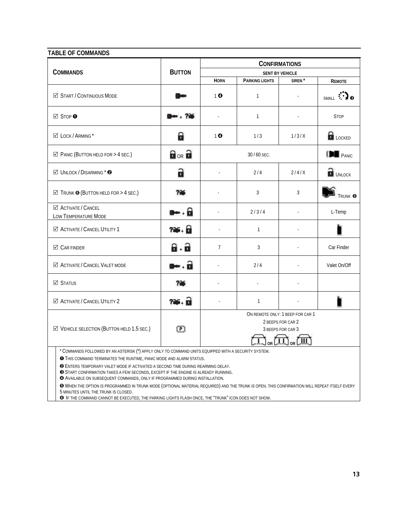### **TABLE OF COMMANDS**

|                                                                                                                                                                                   | <b>BUTTON</b>                  | <b>CONFIRMATIONS</b>   |                |                                                                                       |                     |  |
|-----------------------------------------------------------------------------------------------------------------------------------------------------------------------------------|--------------------------------|------------------------|----------------|---------------------------------------------------------------------------------------|---------------------|--|
| <b>COMMANDS</b>                                                                                                                                                                   |                                | <b>SENT BY VEHICLE</b> |                |                                                                                       |                     |  |
|                                                                                                                                                                                   |                                | <b>HORN</b>            | PARKING LIGHTS | SIREN <sup>*</sup>                                                                    | <b>REMOTE</b>       |  |
| ☑ START / CONTINUOUS MODE                                                                                                                                                         |                                | 10                     | $\mathbf{1}$   |                                                                                       | SMALL <b>:</b> a    |  |
| <b>Ø</b> STOP <b>O</b>                                                                                                                                                            |                                | $\mathbf{r}$           | $\mathbf{1}$   |                                                                                       | <b>STOP</b>         |  |
| ⊠ LOCK / ARMING*                                                                                                                                                                  | 8                              | 10                     | 1/3            | 1/3/X                                                                                 | <b>R</b> LOCKED     |  |
| $\boxtimes$ PANIC (BUTTON HELD FOR > 4 SEC.)                                                                                                                                      | $\mathbf{H}_{OR}$ $\mathbf{H}$ |                        | 30 / 60 SEC.   |                                                                                       | <b>IDE</b> PANIC    |  |
| $\boxtimes$ UNLOCK / DISARMING * $\odot$                                                                                                                                          | a                              | $\sim$                 | 2/4            | 2/4/X                                                                                 | $\mathbf{a}$ UNLOCK |  |
| $\boxtimes$ Trunk $\odot$ (Button held for > 4 Sec.)                                                                                                                              | <b>?¥</b>                      |                        | 3              | 3                                                                                     | TRUNK <sup>®</sup>  |  |
| ☑ ACTIVATE / CANCEL<br><b>LOW TEMPERATURE MODE</b>                                                                                                                                | $-6$                           | $\Box$                 | 2/3/4          |                                                                                       | L-Temp              |  |
| ☑ ACTIVATE / CANCEL UTILITY 1                                                                                                                                                     | ?¥ 6                           | ä,                     | $\mathbf{1}$   |                                                                                       |                     |  |
| $\boxtimes$ CAR FINDER                                                                                                                                                            | a a                            | $\overline{7}$         | 3              |                                                                                       | Car Finder          |  |
| ☑ ACTIVATE / CANCEL VALET MODE                                                                                                                                                    | $\blacksquare$                 |                        | 2/4            |                                                                                       | Valet On/Off        |  |
| ☑ Status                                                                                                                                                                          | <b>726</b>                     |                        |                |                                                                                       |                     |  |
| <b>⊠ ACTIVATE / CANCEL UTILITY 2</b>                                                                                                                                              | ?¥ a                           | $\bar{\phantom{a}}$    | $\mathbf{1}$   |                                                                                       |                     |  |
| $\boxtimes$ VEHICLE SELECTION (BUTTON HELD 1.5 SEC.)                                                                                                                              | ℗                              |                        |                | ON REMOTE ONLY: 1 BEEP FOR CAR 1<br>2 BEEPS FOR CAR 2<br>3 BEEPS FOR CAR 3<br>。(一)。(一 |                     |  |
| * COMMANDS FOLLOWED BY AN ASTERISK (*) APPLY ONLY TO COMMAND UNITS EQUIPPED WITH A SECURITY SYSTEM.<br><b>O</b> THIS COMMAND TERMINATES THE RUNTIME, PANIC MODE AND ALARM STATUS. |                                |                        |                |                                                                                       |                     |  |

ENTERS TEMPORARY VALET MODE IF ACTIVATED A SECOND TIME DURING REARMING DELAY.

START CONFIRMATION TAKES A FEW SECONDS, EXCEPT IF THE ENGINE IS ALREADY RUNNING.

AVAILABLE ON SUBSEQUENT COMMANDS, ONLY IF PROGRAMMED DURING INSTALLATION.

 WHEN THE OPTION IS PROGRAMMED IN TRUNK MODE (OPTIONAL MATERIAL REQUIRED) AND THE TRUNK IS OPEN. THIS CONFIRMATION WILL REPEAT ITSELF EVERY 5 MINUTES UNTIL THE TRUNK IS CLOSED.

**O** IF THE COMMAND CANNOT BE EXECUTED, THE PARKING LIGHTS FLASH ONCE, THE "TRUNK" ICON DOES NOT SHOW.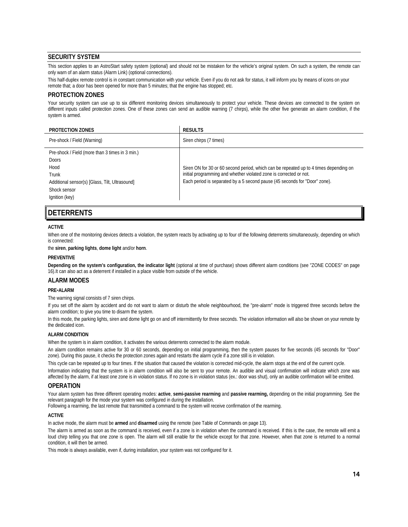# **SECURITY SYSTEM**

This section applies to an AstroStart safety system (optional) and should not be mistaken for the vehicle's original system. On such a system, the remote can only warn of an alarm status (Alarm Link) (optional connections).

This half-duplex remote control is in constant communication with your vehicle. Even if you do not ask for status, it will inform you by means of icons on your remote that; a door has been opened for more than 5 minutes; that the engine has stopped; etc.

## **PROTECTION ZONES**

Your security system can use up to six different monitoring devices simultaneously to protect your vehicle. These devices are connected to the system on different inputs called protection zones. One of these zones can send an audible warning (7 chirps), while the other five generate an alarm condition, if the system is armed.

| <b>PROTECTION ZONES</b>                                                                                                                                              | <b>RESULTS</b>                                                                                                                                                                                                                            |
|----------------------------------------------------------------------------------------------------------------------------------------------------------------------|-------------------------------------------------------------------------------------------------------------------------------------------------------------------------------------------------------------------------------------------|
| Pre-shock / Field (Warning)                                                                                                                                          | Siren chirps (7 times)                                                                                                                                                                                                                    |
| Pre-shock / Field (more than 3 times in 3 min.)<br><b>Doors</b><br>Hood<br>Trunk<br>Additional sensor(s) [Glass, Tilt, Ultrasound]<br>Shock sensor<br>Ignition (key) | Siren ON for 30 or 60 second period, which can be repeated up to 4 times depending on<br>initial programming and whether violated zone is corrected or not.<br>Each period is separated by a 5 second pause (45 seconds for "Door" zone). |

# **DETERRENTS**

#### **ACTIVE**

When one of the monitoring devices detects a violation, the system reacts by activating up to four of the following deterrents simultaneously, depending on which is connected:

the **siren**, **parking lights**, **dome light** and/or **horn**.

#### **PREVENTIVE**

**Depending on the system's configuration, the indicator light** (optional at time of purchase) shows different alarm conditions (see "ZONE CODES" on page 16).It can also act as a deterrent if installed in a place visible from outside of the vehicle.

# **ALARM MODES**

#### **PRE-ALARM**

The warning signal consists of 7 siren chirps.

If you set off the alarm by accident and do not want to alarm or disturb the whole neighbourhood, the "pre-alarm" mode is triggered three seconds before the alarm condition; to give you time to disarm the system.

In this mode, the parking lights, siren and dome light go on and off intermittently for three seconds. The violation information will also be shown on your remote by the dedicated icon.

#### **ALARM CONDITION**

When the system is in alarm condition, it activates the various deterrents connected to the alarm module.

An alarm condition remains active for 30 or 60 seconds, depending on initial programming, then the system pauses for five seconds (45 seconds for "Door" zone). During this pause, it checks the protection zones again and restarts the alarm cycle if a zone still is in violation.

This cycle can be repeated up to four times. If the situation that caused the violation is corrected mid-cycle, the alarm stops at the end of the current cycle. Information indicating that the system is in alarm condition will also be sent to your remote. An audible and visual confirmation will indicate which zone was affected by the alarm, if at least one zone is in violation status. If no zone is in violation status (ex.: door was shut), only an audible confirmation will be emitted.

### **OPERATION**

Your alarm system has three different operating modes: **active**, **semi-passive rearming** and **passive rearming,** depending on the initial programming. See the relevant paragraph for the mode your system was configured in during the installation.

Following a rearming, the last remote that transmitted a command to the system will receive confirmation of the rearming.

#### **ACTIVE**

In active mode, the alarm must be **armed** and **disarmed** using the remote (see Table of Commands on page 13).

The alarm is armed as soon as the command is received, even if a zone is in violation when the command is received. If this is the case, the remote will emit a loud chirp telling you that one zone is open. The alarm will still enable for the vehicle except for that zone. However, when that zone is returned to a normal condition, it will then be armed.

This mode is always available, even if, during installation, your system was not configured for it.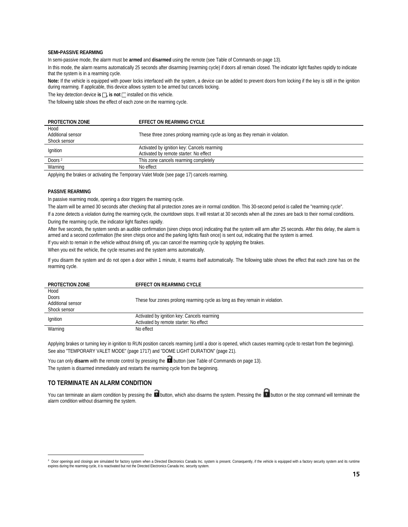#### **SEMI-PASSIVE REARMING**

In semi-passive mode, the alarm must be **armed** and **disarmed** using the remote (see Table of Commands on page 13).

In this mode, the alarm rearms automatically 25 seconds after disarming (rearming cycle) if doors all remain closed. The indicator light flashes rapidly to indicate that the system is in a rearming cycle.

**Note:** If the vehicle is equipped with power locks interfaced with the system, a device can be added to prevent doors from locking if the key is still in the ignition during rearming. If applicable, this device allows system to be armed but cancels locking.

The key detection device **is**  $\Box$ , **is not**  $\Box$  installed on this vehicle.

The following table shows the effect of each zone on the rearming cycle.

| <b>PROTECTION ZONE</b> | EFFECT ON REARMING CYCLE                                                      |
|------------------------|-------------------------------------------------------------------------------|
| Hood                   |                                                                               |
| Additional sensor      | These three zones prolong rearming cycle as long as they remain in violation. |
| Shock sensor           |                                                                               |
|                        | Activated by ignition key: Cancels rearming                                   |
| Ignition               | Activated by remote starter: No effect                                        |
| Doors <sup>2</sup>     | This zone cancels rearming completely                                         |
| Warning                | No effect                                                                     |

Applying the brakes or activating the Temporary Valet Mode (see page 17) cancels rearming.

### **PASSIVE REARMING**

In passive rearming mode, opening a door triggers the rearming cycle.

The alarm will be armed 30 seconds after checking that all protection zones are in normal condition. This 30-second period is called the "rearming cycle".

If a zone detects a violation during the rearming cycle, the countdown stops. It will restart at 30 seconds when all the zones are back to their normal conditions. During the rearming cycle, the indicator light flashes rapidly.

After five seconds, the system sends an audible confirmation (siren chirps once) indicating that the system will arm after 25 seconds. After this delay, the alarm is armed and a second confirmation (the siren chirps once and the parking lights flash once) is sent out, indicating that the system is armed.

If you wish to remain in the vehicle without driving off, you can cancel the rearming cycle by applying the brakes.

When you exit the vehicle, the cycle resumes and the system arms automatically.

If you disarm the system and do not open a door within 1 minute, it rearms itself automatically. The following table shows the effect that each zone has on the rearming cycle.

| <b>PROTECTION ZONE</b>                                    | <b>EFFECT ON REARMING CYCLE</b>                                                       |
|-----------------------------------------------------------|---------------------------------------------------------------------------------------|
| Hood<br><b>Doors</b><br>Additional sensor<br>Shock sensor | These four zones prolong rearming cycle as long as they remain in violation.          |
| Ignition                                                  | Activated by ignition key: Cancels rearming<br>Activated by remote starter: No effect |
| Warning                                                   | No effect                                                                             |

Applying brakes or turning key in ignition to RUN position cancels rearming (until a door is opened, which causes rearming cycle to restart from the beginning). See also "TEMPORARY VALET MODE" (page 1717) and "DOME LIGHT DURATION" (page 21).

You can only disarm with the remote control by pressing the **button** (see Table of Commands on page 13). The system is disarmed immediately and restarts the rearming cycle from the beginning.

# **TO TERMINATE AN ALARM CONDITION**

1

You can terminate an alarm condition by pressing the button, which also disarms the system. Pressing the button or the stop command will terminate the alarm condition without disarming the system.

<sup>&</sup>lt;sup>2</sup> Door openings and closings are simulated for factory system when a Directed Electronics Canada Inc. system is present. Consequently, if the vehicle is equipped with a factory security system and its runtime expires during the rearming cycle, it is reactivated but not the Directed Electronics Canada Inc. security system.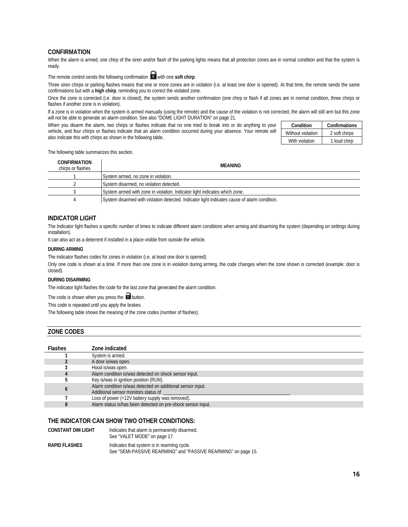### **CONFIRMATION**

When the alarm is armed, one chirp of the siren and/or flash of the parking lights means that all protection zones are in normal condition and that the system is ready.

The remote control sends the following confirmation **T** with one **soft chirp**.

Three siren chirps or parking flashes means that one or more zones are in violation (i.e. at least one door is opened). At that time, the remote sends the same confirmations but with a **high chirp**, reminding you to correct the violated zone.

Once the zone is corrected (i.e. door is closed), the system sends another confirmation (one chirp or flash if all zones are in normal condition, three chirps or flashes if another zone is in violation).

If a zone is in violation when the system is armed manually (using the remote) and the cause of the violation is not corrected, the alarm will still arm but this zone will not be able to generate an alarm condition. See also "DOME LIGHT DURATION" on page 21.

When you disarm the alarm, two chirps or flashes indicate that no one tried to break into or do anything to your vehicle, and four chirps or flashes indicate that an alarm condition occurred during your absence. Your remote will also indicate this with chirps as shown in the following table.

| Condition         | Confirmations |
|-------------------|---------------|
| Without violation | 2 soft chirps |
| With violation    | 1 loud chirp  |

The following table summarizes this section.

| CONFIRMATION<br>chirps or flashes | MEANING                                                                                      |
|-----------------------------------|----------------------------------------------------------------------------------------------|
|                                   | System armed, no zone in violation.                                                          |
|                                   | System disarmed, no violation detected.                                                      |
|                                   | System armed with zone in violation. Indicator light indicates which zone.                   |
|                                   | System disarmed with violation detected. Indicator light indicates cause of alarm condition. |

### **INDICATOR LIGHT**

The Indicator light flashes a specific number of times to indicate different alarm conditions when arming and disarming the system (depending on settings during installation).

It can also act as a deterrent if installed in a place visible from outside the vehicle.

#### **DURING ARMING**

The indicator flashes codes for zones in violation (i.e. at least one door is opened).

Only one code is shown at a time. If more than one zone is in violation during arming, the code changes when the zone shown is corrected (example: door is closed).

#### **DURING DISARMING**

The indicator light flashes the code for the last zone that generated the alarm condition.

The code is shown when you press the  $\Box$  button.

This code is repeated until you apply the brakes.

The following table shows the meaning of the zone codes (number of flashes).

### **ZONE CODES**

| <b>Flashes</b> | Zone indicated                                                                                      |
|----------------|-----------------------------------------------------------------------------------------------------|
|                | System is armed.                                                                                    |
|                | A door is/was open.                                                                                 |
|                | Hood is/was open.                                                                                   |
|                | Alarm condition is/was detected on shock sensor input.                                              |
|                | Key is/was in ignition position (RUN).                                                              |
|                | Alarm condition is/was detected on additional sensor input.<br>Additional sensor monitors status of |
|                | Loss of power (+12V battery supply was removed).                                                    |
|                | Alarm status is/has been detected on pre-shock sensor input.                                        |

### **THE INDICATOR CAN SHOW TWO OTHER CONDITIONS:**

**CONSTANT DIM LIGHT** Indicates that alarm is permanently disarmed. See "VALET MODE" on page 17. **RAPID FLASHES** Indicates that system is in rearming cycle. See "SEMI-PASSIVE REARMING" and "PASSIVE REARMING" on page 15.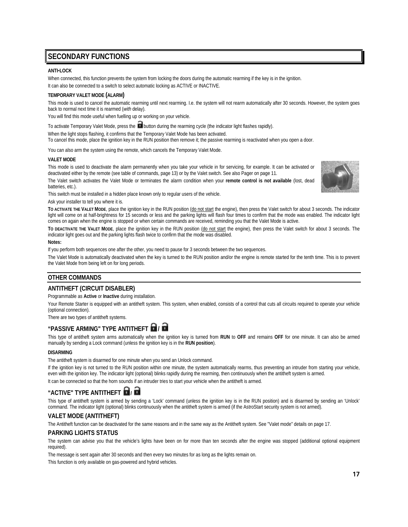# **SECONDARY FUNCTIONS**

#### **ANTI-LOCK**

When connected, this function prevents the system from locking the doors during the automatic rearming if the key is in the ignition.

It can also be connected to a switch to select automatic locking as ACTIVE or INACTIVE.

#### **TEMPORARY VALET MODE (ALARM)**

This mode is used to cancel the automatic rearming until next rearming. I.e. the system will not rearm automatically after 30 seconds. However, the system goes back to normal next time it is rearmed (*with* delay).

You will find this mode useful when fuelling up or working on your vehicle.

To activate Temporary Valet Mode, press the **button during the rearming cycle (the indicator light flashes rapidly)**.

When the light stops flashing, it confirms that the Temporary Valet Mode has been activated. To cancel this mode, place the ignition key in the RUN position then remove it; the passive rearming is reactivated when you open a door.

You can also arm the system using the remote, which cancels the Temporary Valet Mode.

#### **VALET MODE**

This mode is used to deactivate the alarm permanently when you take your vehicle in for servicing, for example. It can be activated or deactivated either by the remote (see table of commands, page 13) or by the Valet switch. See also Pager on page 11.

The Valet switch activates the Valet Mode or terminates the alarm condition when your **remote control is not available** (lost, dead batteries, etc.).



This switch must be installed in a hidden place known only to regular users of the vehicle.

Ask your installer to tell you where it is.

**TO ACTIVATE THE VALET MODE**, place the ignition key in the RUN position (do not start the engine), then press the Valet switch for about 3 seconds. The indicator light will come on at half-brightness for 15 seconds or less and the parking lights will flash four times to confirm that the mode was enabled. The indicator light comes on again when the engine is stopped or when certain commands are received, reminding you that the Valet Mode is active.

**TO DEACTIVATE THE VALET MODE**, place the ignition key in the RUN position (do not start the engine), then press the Valet switch for about 3 seconds. The indicator light goes out and the parking lights flash twice to confirm that the mode was disabled.

#### **Notes:**

If you perform both sequences one after the other, you need to pause for 3 seconds between the two sequences.

The Valet Mode is automatically deactivated when the key is turned to the RUN position and/or the engine is remote started for the tenth time. This is to prevent the Valet Mode from being left on for long periods.

# **OTHER COMMANDS**

# **ANTITHEFT (CIRCUIT DISABLER)**

Programmable as **Active** or **Inactive** during installation.

Your Remote Starter is equipped with an antitheft system. This system, when enabled, consists of a control that cuts all circuits required to operate your vehicle (optional connection).

There are two types of antitheft systems.

# **"PASSIVE ARMING" TYPE ANTITHEFT /**

This type of antitheft system arms automatically when the ignition key is turned from **RUN** to **OFF** and remains **OFF** for one minute. It can also be armed manually by sending a Lock command (unless the ignition key is in the **RUN position**).

#### **DISARMING**

The antitheft system is disarmed for one minute when you send an Unlock command.

If the ignition key is not turned to the RUN position within one minute, the system automatically rearms, thus preventing an intruder from starting your vehicle, even with the ignition key. The indicator light (optional) blinks rapidly during the rearming, then continuously when the antitheft system is armed.

It can be connected so that the horn sounds if an intruder tries to start your vehicle when the antitheft is armed.

# **"ACTIVE" TYPE ANTITHEFT /**

This type of antitheft system is armed by sending a 'Lock' command (unless the ignition key is in the RUN position) and is disarmed by sending an 'Unlock' command. The indicator light (optional) blinks continuously when the antitheft system is armed (if the AstroStart security system is not armed).

# **VALET MODE (ANTITHEFT)**

The Antitheft function can be deactivated for the same reasons and in the same way as the Antitheft system. See "Valet mode" details on page 17.

### **PARKING LIGHTS STATUS**

The system can advise you that the vehicle's lights have been on for more than ten seconds after the engine was stopped (additional optional equipment required).

The message is sent again after 30 seconds and then every two minutes for as long as the lights remain on.

This function is only available on gas-powered and hybrid vehicles.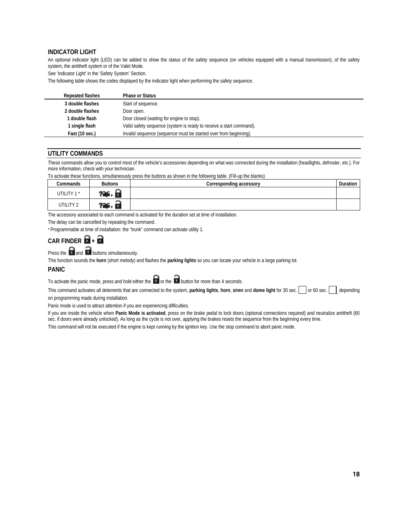# **INDICATOR LIGHT**

An optional indicator light (LED) can be added to show the status of the safety sequence (on vehicles equipped with a manual transmission), of the safety system, the antitheft system or of the Valet Mode.

See 'Indicator Light' in the 'Safety System' Section.

The following table shows the codes displayed by the indicator light when performing the safety sequence.

| <b>Repeated flashes</b> | <b>Phase or Status</b>                                              |
|-------------------------|---------------------------------------------------------------------|
| 3 double flashes        | Start of sequence.                                                  |
| 2 double flashes        | Door open.                                                          |
| 1 double flash          | Door closed (waiting for engine to stop).                           |
| 1 single flash          | Valid safety sequence (system is ready to receive a start command). |
| Fast (10 sec.)          | Invalid sequence (sequence must be started over from beginning).    |

### **UTILITY COMMANDS**

These commands allow you to control most of the vehicle's accessories depending on what was connected during the installation (headlights, defroster, etc.). For more information, check with your technician.

To activate these functions, simultaneously press the buttons as shown in the following table. (Fill-up the blanks)

| Commands   | <b>Buttons</b> | Corresponding accessory | Duration |
|------------|----------------|-------------------------|----------|
| UTILITY 1* |                |                         |          |
| UTILITY 2  | ---            |                         |          |

The accessory associated to each command is activated for the duration set at time of installation.

The delay can be cancelled by repeating the command.

\* Programmable at time of installation: the "trunk" command can activate utility 1.

# CAR FINDER  $\blacksquare$  +  $\blacksquare$

Press the  $\overline{\mathbf{r}}$  and  $\overline{\mathbf{r}}$  buttons simultaneously.

This function sounds the **horn** (short melody) and flashes the **parking lights** so you can locate your vehicle in a large parking lot.

#### **PANIC**

To activate the panic mode, press and hold either the  $\Box$  or the  $\Box$  button for more than 4 seconds.

This command activates all deterrents that are connected to the system, parking lights, horn, siren and dome light for 30 sec. or 60 sec. depending on programming made during installation.

Panic mode is used to attract attention if you are experiencing difficulties.

If you are inside the vehicle when **Panic Mode is activated**, press on the brake pedal to lock doors (optional connections required) and neutralize antitheft (60 sec. if doors were already unlocked). As long as the cycle is not over, applying the brakes resets the sequence from the beginning every time.

This command will not be executed if the engine is kept running by the ignition key. Use the stop command to abort panic mode.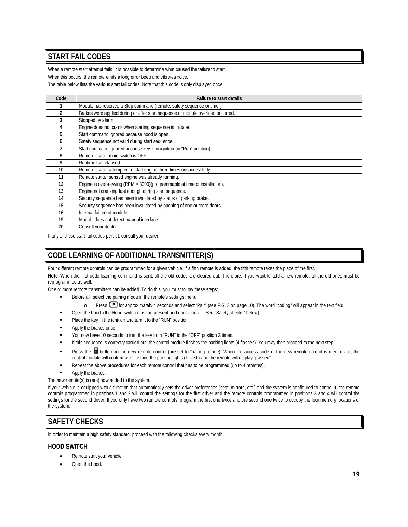# **START FAIL CODES**

When a remote start attempt fails, it is possible to determine what caused the failure to start.

When this occurs, the remote emits a long error beep and vibrates twice.

The table below lists the various start fail codes. Note that this code is only displayed once.

| Code | <b>Failure to start details</b>                                                 |
|------|---------------------------------------------------------------------------------|
|      | Module has received a Stop command (remote, safety sequence or timer).          |
|      | Brakes were applied during or after start sequence or module overload occurred. |
|      | Stopped by alarm.                                                               |
|      | Engine does not crank when starting sequence is initiated.                      |
| 5    | Start command ignored because hood is open.                                     |
| n    | Safety sequence not valid during start sequence.                                |
|      | Start command ignored because key is in ignition (in "Run" position).           |
| 8    | Remote starter main switch is OFF.                                              |
| 9    | Runtime has elapsed.                                                            |
| 10   | Remote starter attempted to start engine three times unsuccessfully.            |
| 11   | Remote starter sensed engine was already running.                               |
| 12   | Engine is over-revving (RPM > 3000)(programmable at time of installation).      |
| 13   | Engine not cranking fast enough during start sequence.                          |
| 14   | Security sequence has been invalidated by status of parking brake.              |
| 15   | Security sequence has been invalidated by opening of one or more doors.         |
| 16   | Internal failure of module.                                                     |
| 19   | Module does not detect manual interface.                                        |
| 20   | Consult your dealer.                                                            |

If any of these start fail codes persist, consult your dealer.

# **CODE LEARNING OF ADDITIONAL TRANSMITTER(S)**

Four different remote controls can be programmed for a given vehicle. If a fifth remote is added, the fifth remote takes the place of the first.

**Note**: When the first code-learning command is sent, all the old codes are cleared out. Therefore, if you want to add a new remote, all the old ones must be reprogrammed as well.

One or more remote transmitters can be added. To do this, you must follow these steps:

- Before all, select the pairing mode in the remote's settings menu.
	- o Press **P** for approximately 4 seconds and select "Pair" (see FIG. 3 on page 10). The word "coding" will appear in the text field.
- Open the hood. (the Hood switch must be present and operational. See "Safety checks" below)
- Place the key in the ignition and turn it to the "RUN" position
- Apply the brakes once
- You now have 10 seconds to turn the key from "RUN" to the "OFF" position 3 times.
- If this sequence is correctly carried out, the control module flashes the parking lights (4 flashes). You may then proceed to the next step.
- Press the **D**utton on the new remote control (pre-set to "pairing" mode). When the access code of the new remote control is memorized, the control module will confirm with flashing the parking lights (1 flash) and the remote will display "passed".
- Repeat the above procedures for each remote control that has to be programmed (up to 4 remotes).
- Apply the brakes.

The new remote(s) is (are) now added to the system.

If your vehicle is equipped with a function that automatically sets the driver preferences (seat, mirrors, etc.) and the system is configured to control it, the remote controls programmed in positions 1 and 2 will control the settings for the first driver and the remote controls programmed in positions 3 and 4 will control the settings for the second driver. If you only have two remote controls, program the first one twice and the second one twice to occupy the four memory locations of the system.

# **SAFETY CHECKS**

In order to maintain a high safety standard, proceed with the following checks every month.

# **HOOD SWITCH**

- Remote start your vehicle.
- Open the hood.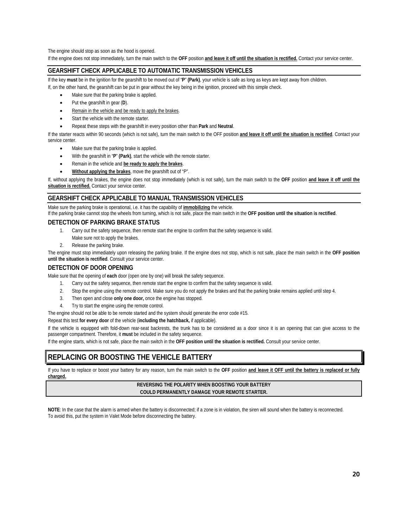The engine should stop as soon as the hood is opened.

If the engine does not stop immediately, turn the main switch to the **OFF** position **and leave it off until the situation is rectified.** Contact your service center.

### **GEARSHIFT CHECK APPLICABLE TO AUTOMATIC TRANSMISSION VEHICLES**

If the key **must** be in the ignition for the gearshift to be moved out of "**P**" **(Park)**, your vehicle is safe as long as keys are kept away from children. If, on the other hand, the gearshift can be put in gear without the key being in the ignition, proceed with this simple check.

- Make sure that the parking brake is applied.
- Put the gearshift in gear (**D**).
- Remain in the vehicle and be ready to apply the brakes.
- Start the vehicle with the remote starter.
- Repeat these steps with the gearshift in every position other than **Park** and **Neutral**.

If the starter reacts within 90 seconds (which is not safe), turn the main switch to the OFF position **and leave it off until the situation is rectified**. Contact your service center.

- Make sure that the parking brake is applied.
- With the gearshift in "**P**" **(Park)**, start the vehicle with the remote starter.
- Remain in the vehicle and **be ready to apply the brakes**.
- **Without applying the brakes**, move the gearshift out of "P".

If, without applying the brakes, the engine does not stop immediately (which is not safe), turn the main switch to the **OFF** position **and leave it off until the situation is rectified.** Contact your service center.

# **GEARSHIFT CHECK APPLICABLE TO MANUAL TRANSMISSION VEHICLES**

Make sure the parking brake is operational, i.e. it has the capability of **immobilizing** the vehicle.

If the parking brake cannot stop the wheels from turning, which is not safe, place the main switch in the **OFF position until the situation is rectified**.

### **DETECTION OF PARKING BRAKE STATUS**

- 1. Carry out the safety sequence, then remote start the engine to confirm that the safety sequence is valid.
- Make sure not to apply the brakes.
- 2. Release the parking brake.

The engine must stop immediately upon releasing the parking brake. If the engine does not stop, which is not safe, place the main switch in the **OFF position until the situation is rectified**. Consult your service center.

# **DETECTION OF DOOR OPENING**

Make sure that the opening of **each** door (open one by one) will break the safety sequence.

- 1. Carry out the safety sequence, then remote start the engine to confirm that the safety sequence is valid.
- 2. Stop the engine using the remote control. Make sure you do not apply the brakes and that the parking brake remains applied until step 4.
- 3. Then open and close **only one door,** once the engine has stopped.
- 4. Try to start the engine using the remote control.

The engine should not be able to be remote started and the system should generate the error code #15.

Repeat this test **for every door** of the vehicle (**including the hatchback,** if applicable).

If the vehicle is equipped with fold-down rear-seat backrests, the trunk has to be considered as a door since it is an opening that can give access to the passenger compartment. Therefore, it **must** be included in the safety sequence.

If the engine starts, which is not safe, place the main switch in the **OFF position until the situation is rectified.** Consult your service center.

# **REPLACING OR BOOSTING THE VEHICLE BATTERY**

If you have to replace or boost your battery for any reason, turn the main switch to the **OFF** position **and leave it OFF until the battery is replaced or fully charged.**

#### **REVERSING THE POLARITY WHEN BOOSTING YOUR BATTERY COULD PERMANENTLY DAMAGE YOUR REMOTE STARTER.**

**NOTE**: In the case that the alarm is armed when the battery is disconnected; if a zone is in violation, the siren will sound when the battery is reconnected. To avoid this, put the system in Valet Mode before disconnecting the battery.